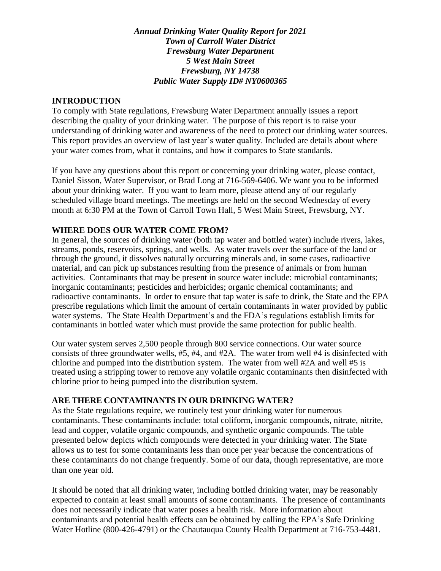*Annual Drinking Water Quality Report for 2021 Town of Carroll Water District Frewsburg Water Department 5 West Main Street Frewsburg, NY 14738 Public Water Supply ID# NY0600365*

#### **INTRODUCTION**

To comply with State regulations, Frewsburg Water Department annually issues a report describing the quality of your drinking water. The purpose of this report is to raise your understanding of drinking water and awareness of the need to protect our drinking water sources. This report provides an overview of last year's water quality. Included are details about where your water comes from, what it contains, and how it compares to State standards.

If you have any questions about this report or concerning your drinking water, please contact, Daniel Sisson, Water Supervisor, or Brad Long at 716-569-6406. We want you to be informed about your drinking water. If you want to learn more, please attend any of our regularly scheduled village board meetings. The meetings are held on the second Wednesday of every month at 6:30 PM at the Town of Carroll Town Hall, 5 West Main Street, Frewsburg, NY.

#### **WHERE DOES OUR WATER COME FROM?**

In general, the sources of drinking water (both tap water and bottled water) include rivers, lakes, streams, ponds, reservoirs, springs, and wells. As water travels over the surface of the land or through the ground, it dissolves naturally occurring minerals and, in some cases, radioactive material, and can pick up substances resulting from the presence of animals or from human activities. Contaminants that may be present in source water include: microbial contaminants; inorganic contaminants; pesticides and herbicides; organic chemical contaminants; and radioactive contaminants. In order to ensure that tap water is safe to drink, the State and the EPA prescribe regulations which limit the amount of certain contaminants in water provided by public water systems. The State Health Department's and the FDA's regulations establish limits for contaminants in bottled water which must provide the same protection for public health.

Our water system serves 2,500 people through 800 service connections. Our water source consists of three groundwater wells, #5, #4, and #2A. The water from well #4 is disinfected with chlorine and pumped into the distribution system. The water from well #2A and well #5 is treated using a stripping tower to remove any volatile organic contaminants then disinfected with chlorine prior to being pumped into the distribution system.

### **ARE THERE CONTAMINANTS IN OUR DRINKING WATER?**

As the State regulations require, we routinely test your drinking water for numerous contaminants. These contaminants include: total coliform, inorganic compounds, nitrate, nitrite, lead and copper, volatile organic compounds, and synthetic organic compounds. The table presented below depicts which compounds were detected in your drinking water. The State allows us to test for some contaminants less than once per year because the concentrations of these contaminants do not change frequently. Some of our data, though representative, are more than one year old.

It should be noted that all drinking water, including bottled drinking water, may be reasonably expected to contain at least small amounts of some contaminants. The presence of contaminants does not necessarily indicate that water poses a health risk. More information about contaminants and potential health effects can be obtained by calling the EPA's Safe Drinking Water Hotline (800-426-4791) or the Chautauqua County Health Department at 716-753-4481.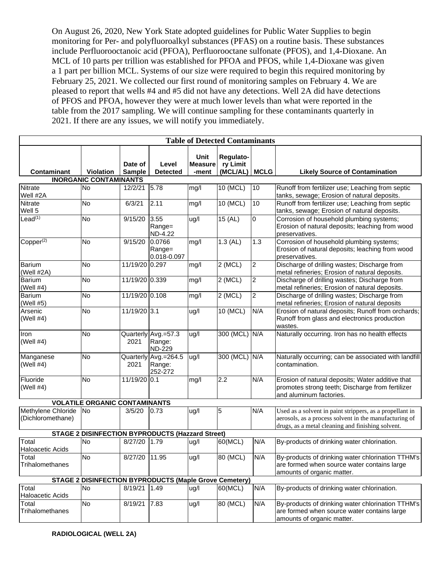On August 26, 2020, New York State adopted guidelines for Public Water Supplies to begin monitoring for Per- and polyfluoroalkyl substances (PFAS) on a routine basis. These substances include Perfluorooctanoic acid (PFOA), Perfluorooctane sulfonate (PFOS), and 1,4-Dioxane. An MCL of 10 parts per trillion was established for PFOA and PFOS, while 1,4-Dioxane was given a 1 part per billion MCL. Systems of our size were required to begin this required monitoring by February 25, 2021. We collected our first round of monitoring samples on February 4. We are pleased to report that wells #4 and #5 did not have any detections. Well 2A did have detections of PFOS and PFOA, however they were at much lower levels than what were reported in the table from the 2017 sampling. We will continue sampling for these contaminants quarterly in 2021. If there are any issues, we will notify you immediately.

| <b>Table of Detected Contaminants</b>   |                                                               |                          |                                                |                                        |                                   |                |                                                                                                                                                                         |  |  |  |  |
|-----------------------------------------|---------------------------------------------------------------|--------------------------|------------------------------------------------|----------------------------------------|-----------------------------------|----------------|-------------------------------------------------------------------------------------------------------------------------------------------------------------------------|--|--|--|--|
| <b>Contaminant</b>                      | <b>Violation</b>                                              | Date of<br><b>Sample</b> | Level<br><b>Detected</b>                       | <b>Unit</b><br><b>Measure</b><br>-ment | Regulato-<br>ry Limit<br>(MCL/AL) | <b>MCLG</b>    | <b>Likely Source of Contamination</b>                                                                                                                                   |  |  |  |  |
| <b>INORGANIC CONTAMINANTS</b>           |                                                               |                          |                                                |                                        |                                   |                |                                                                                                                                                                         |  |  |  |  |
| Nitrate<br>Well #2A                     | <b>No</b>                                                     | 12/2/21                  | 5.78                                           | mg/l                                   | 10 (MCL)                          | 10             | Runoff from fertilizer use; Leaching from septic<br>tanks, sewage; Erosion of natural deposits.                                                                         |  |  |  |  |
| <b>Nitrate</b><br>Well 5                | <b>No</b>                                                     | 6/3/21                   | 2.11                                           | mg/l                                   | 10 (MCL)                          | 10             | Runoff from fertilizer use; Leaching from septic<br>tanks, sewage; Erosion of natural deposits.                                                                         |  |  |  |  |
| Leaf <sup>(1)</sup>                     | <b>No</b>                                                     | 9/15/20                  | 3.55<br>Range=<br>ND-4.22                      | ug/l                                   | 15 (AL)                           | $\mathbf 0$    | Corrosion of household plumbing systems;<br>Erosion of natural deposits; leaching from wood<br>preservatives.                                                           |  |  |  |  |
| $Copper^{(2)}$                          | No                                                            | 9/15/20                  | 0.0766<br>Range=<br>0.018-0.097                | mg/l                                   | $1.3$ (AL)                        | 1.3            | Corrosion of household plumbing systems;<br>Erosion of natural deposits; leaching from wood<br>preservatives.                                                           |  |  |  |  |
| Barium<br>(Well #2A)                    | No                                                            | 11/19/20 0.297           |                                                | mg/l                                   | $2$ (MCL)                         | $\overline{2}$ | Discharge of drilling wastes; Discharge from<br>metal refineries; Erosion of natural deposits.                                                                          |  |  |  |  |
| <b>Barium</b><br>(Well $#4$ )           | No                                                            | 11/19/20 0.339           |                                                | mg/l                                   | $\overline{2}$ (MCL)              | $\overline{2}$ | Discharge of drilling wastes; Discharge from<br>metal refineries; Erosion of natural deposits.                                                                          |  |  |  |  |
| Barium<br>(Well #5)                     | <b>No</b>                                                     | 11/19/20 0.108           |                                                | mg/l                                   | $2$ (MCL)                         | $\overline{2}$ | Discharge of drilling wastes; Discharge from<br>metal refineries; Erosion of natural deposits                                                                           |  |  |  |  |
| Arsenic<br>(Well $#4$ )                 | <b>No</b>                                                     | 11/19/20 3.1             |                                                | ug/l                                   | $10$ (MCL)                        | N/A            | Erosion of natural deposits; Runoff from orchards;<br>Runoff from glass and electronics production<br>wastes.                                                           |  |  |  |  |
| Iron<br>(Well $#4$ )                    | <b>No</b>                                                     | 2021                     | Quarterly Avg.=57.3<br>Range:<br><b>ND-229</b> | ug/l                                   | 300 (MCL) N/A                     |                | Naturally occurring. Iron has no health effects                                                                                                                         |  |  |  |  |
| Manganese<br>(Well $#4$ )               | <b>No</b>                                                     | Quarterly<br>2021        | Avg.=264.5<br>Range:<br>252-272                | ug/l                                   | 300 (MCL) N/A                     |                | Naturally occurring; can be associated with landfill<br>contamination.                                                                                                  |  |  |  |  |
| Fluoride<br>(Well $#4$ )                | No                                                            | 11/19/20 0.1             |                                                | mg/l                                   | 2.2                               | N/A            | Erosion of natural deposits; Water additive that<br>promotes strong teeth; Discharge from fertilizer<br>and aluminum factories.                                         |  |  |  |  |
|                                         | <b>VOLATILE ORGANIC CONTAMINANTS</b>                          |                          |                                                |                                        |                                   |                |                                                                                                                                                                         |  |  |  |  |
| Methylene Chloride<br>(Dichloromethane) | No                                                            | 3/5/20                   | 0.73                                           | ug/l                                   | 5                                 | N/A            | Used as a solvent in paint strippers, as a propellant in<br>aerosols, as a process solvent in the manufacturing of<br>drugs, as a metal cleaning and finishing solvent. |  |  |  |  |
|                                         | <b>STAGE 2 DISINFECTION BYPRODUCTS (Hazzard Street)</b>       |                          |                                                |                                        |                                   |                |                                                                                                                                                                         |  |  |  |  |
| Total<br><b>Haloacetic Acids</b>        | <b>No</b>                                                     | 8/27/20 1.79             |                                                | ug/l                                   | 60(MCL)                           | N/A            | By-products of drinking water chlorination.                                                                                                                             |  |  |  |  |
| Total<br>Trihalomethanes                | <b>No</b>                                                     | 8/27/20 11.95            |                                                | ug/l                                   | 80 (MCL)                          | N/A            | By-products of drinking water chlorination TTHM's<br>are formed when source water contains large<br>amounts of organic matter.                                          |  |  |  |  |
|                                         | <b>STAGE 2 DISINFECTION BYPRODUCTS (Maple Grove Cemetery)</b> |                          |                                                |                                        |                                   |                |                                                                                                                                                                         |  |  |  |  |
| Total<br>Haloacetic Acids               | No                                                            | 8/19/21                  | 1.49                                           | ug/l                                   | 60(MCL)                           | N/A            | By-products of drinking water chlorination.                                                                                                                             |  |  |  |  |
| Total<br>Trihalomethanes                | No                                                            | 8/19/21                  | 7.83                                           | ug/l                                   | 80 (MCL)                          | N/A            | By-products of drinking water chlorination TTHM's<br>are formed when source water contains large<br>amounts of organic matter.                                          |  |  |  |  |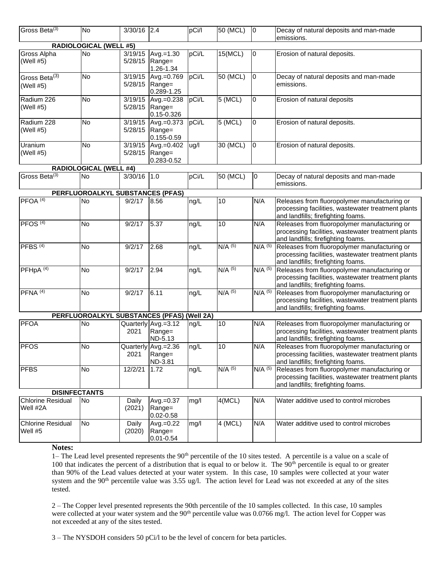| Gross Beta(3)                          | No                                         | 3/30/16 2.4        |                                                    | pCi/l | 50 (MCL)  | 0                    | Decay of natural deposits and man-made<br>emissions.                                                                                     |
|----------------------------------------|--------------------------------------------|--------------------|----------------------------------------------------|-------|-----------|----------------------|------------------------------------------------------------------------------------------------------------------------------------------|
|                                        | <b>RADIOLOGICAL (WELL #5)</b>              |                    |                                                    |       |           |                      |                                                                                                                                          |
| Gross Alpha<br>(Well #5)               | No                                         | 3/19/15<br>5/28/15 | Avg.=1.30<br>Range=<br>1.26-1.34                   | pCi/L | 15(MCL)   | 0                    | Erosion of natural deposits.                                                                                                             |
| Gross Beta <sup>(3)</sup><br>(Well #5) | <b>No</b>                                  |                    | 3/19/15 Avg.=0.769<br>5/28/15 Range=<br>0.289-1.25 | pCi/L | 50 (MCL)  | 0                    | Decay of natural deposits and man-made<br>emissions.                                                                                     |
| Radium 226<br>(Well #5)                | No                                         | 3/19/15            | Avg.=0.238<br>5/28/15 Range=<br>0.15-0.326         | pCi/L | 5 (MCL)   | 0                    | Erosion of natural deposits                                                                                                              |
| Radium 228<br>(Well #5)                | <b>No</b>                                  | 3/19/15<br>5/28/15 | Avg.=0.373<br>Range=<br>0.155-0.59                 | pCi/L | 5 (MCL)   | 0                    | Erosion of natural deposits.                                                                                                             |
| Uranium<br>(Well #5)                   | No                                         | 3/19/15<br>5/28/15 | $Avg.=0.402$<br>Range=<br>0.283-0.52               | ug/l  | 30 (MCL)  | $\pmb{0}$            | Erosion of natural deposits.                                                                                                             |
|                                        | <b>RADIOLOGICAL (WELL #4)</b>              |                    |                                                    |       |           |                      |                                                                                                                                          |
| Gross Beta(3)                          | <b>No</b>                                  | 3/30/16 1.0        |                                                    | pCi/L | 50 (MCL)  | 0                    | Decay of natural deposits and man-made<br>emissions.                                                                                     |
|                                        | PERFLUOROALKYL SUBSTANCES (PFAS)           |                    |                                                    |       |           |                      |                                                                                                                                          |
| PFOA <sup>(4)</sup>                    | <b>No</b>                                  | 9/2/17             | 8.56                                               | ng/L  | 10        | N/A                  | Releases from fluoropolymer manufacturing or<br>processing facilities, wastewater treatment plants<br>and landfills; firefighting foams. |
| PFOS <sup>(4)</sup>                    | <b>No</b>                                  | 9/2/17             | 5.37                                               | ng/L  | 10        | N/A                  | Releases from fluoropolymer manufacturing or<br>processing facilities, wastewater treatment plants<br>and landfills; firefighting foams. |
| PFBS <sup>(4)</sup>                    | No                                         | 9/2/17             | 2.68                                               | ng/L  | $N/A$ (5) | $N/A$ <sup>(5)</sup> | Releases from fluoropolymer manufacturing or<br>processing facilities, wastewater treatment plants<br>and landfills; firefighting foams. |
| PFHpA <sup>(4)</sup>                   | <b>No</b>                                  | 9/2/17             | 2.94                                               | ng/L  | $N/A$ (5) | $N/A$ $(5)$          | Releases from fluoropolymer manufacturing or<br>processing facilities, wastewater treatment plants<br>and landfills; firefighting foams. |
| PFNA <sup>(4)</sup>                    | No                                         | 9/2/17             | 6.11                                               | ng/L  | $N/A$ (5) | $N/A$ <sup>(5)</sup> | Releases from fluoropolymer manufacturing or<br>processing facilities, wastewater treatment plants<br>and landfills; firefighting foams. |
|                                        | PERFLUOROALKYL SUBSTANCES (PFAS) (Well 2A) |                    |                                                    |       |           |                      |                                                                                                                                          |
| <b>PFOA</b>                            | No                                         | 2021               | Quarterly Avg.=3.12<br>Range=<br>ND-5.13           | ng/L  | $10$      | N/A                  | Releases from fluoropolymer manufacturing or<br>processing facilities, wastewater treatment plants<br>and landfills; firefighting foams. |
| <b>PFOS</b>                            | <b>No</b>                                  | 2021               | Quarterly Avg.=2.36<br>Range=<br>ND-3.81           | ng/L  | 10        | N/A                  | Releases from fluoropolymer manufacturing or<br>processing facilities, wastewater treatment plants<br>and landfills; firefighting foams. |
| <b>PFBS</b>                            | <b>No</b>                                  | 12/2/21            | 1.72                                               | ng/L  | $N/A$ (5) | $N/A$ (5)            | Releases from fluoropolymer manufacturing or<br>processing facilities, wastewater treatment plants<br>and landfills; firefighting foams. |
|                                        | <b>DISINFECTANTS</b>                       |                    |                                                    |       |           |                      |                                                                                                                                          |
| <b>Chlorine Residual</b><br>Well #2A   | <b>No</b>                                  | Daily<br>(2021)    | Avg.=0.37<br>Range=<br>$0.02 - 0.58$               | mg/l  | 4(MCL)    | N/A                  | Water additive used to control microbes                                                                                                  |
| <b>Chlorine Residual</b><br>Well #5    | No                                         | Daily<br>(2020)    | $Avg.=0.22$<br>Range=<br>$0.01 - 0.54$             | mg/l  | $4$ (MCL) | N/A                  | Water additive used to control microbes                                                                                                  |

**Notes:**

1– The Lead level presented represents the 90<sup>th</sup> percentile of the 10 sites tested. A percentile is a value on a scale of 100 that indicates the percent of a distribution that is equal to or below it. The  $90<sup>th</sup>$  percentile is equal to or greater than 90% of the Lead values detected at your water system. In this case, 10 samples were collected at your water system and the  $90<sup>th</sup>$  percentile value was 3.55 ug/l. The action level for Lead was not exceeded at any of the sites tested.

2 – The Copper level presented represents the 90th percentile of the 10 samples collected. In this case, 10 samples were collected at your water system and the 90<sup>th</sup> percentile value was 0.0766 mg/l. The action level for Copper was not exceeded at any of the sites tested.

3 – The NYSDOH considers 50 pCi/l to be the level of concern for beta particles.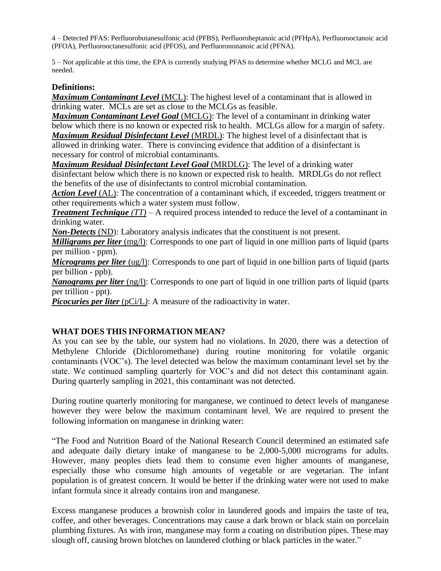4 – Detected PFAS: Perfluorobutanesulfonic acid (PFBS), Perfluoroheptanoic acid (PFHpA), Perfluorooctanoic acid (PFOA), Perfluorooctanesulfonic acid (PFOS), and Perfluorononanoic acid (PFNA).

5 – Not applicable at this time, the EPA is currently studying PFAS to determine whether MCLG and MCL are needed.

#### **Definitions:**

*Maximum Contaminant Level* (MCL): The highest level of a contaminant that is allowed in drinking water. MCLs are set as close to the MCLGs as feasible.

*Maximum Contaminant Level Goal* (MCLG): The level of a contaminant in drinking water below which there is no known or expected risk to health. MCLGs allow for a margin of safety. *Maximum Residual Disinfectant Level* (MRDL): The highest level of a disinfectant that is allowed in drinking water. There is convincing evidence that addition of a disinfectant is necessary for control of microbial contaminants.

*Maximum Residual Disinfectant Level Goal* (MRDLG): The level of a drinking water disinfectant below which there is no known or expected risk to health. MRDLGs do not reflect the benefits of the use of disinfectants to control microbial contamination.

*Action Level* (AL): The concentration of a contaminant which, if exceeded, triggers treatment or other requirements which a water system must follow.

*Treatment Technique (TT)* – A required process intended to reduce the level of a contaminant in drinking water.

*Non-Detects* (ND): Laboratory analysis indicates that the constituent is not present.

*Milligrams per liter* (mg/l): Corresponds to one part of liquid in one million parts of liquid (parts per million - ppm).

*Micrograms per liter* (ug/l): Corresponds to one part of liquid in one billion parts of liquid (parts per billion - ppb).

*Nanograms per liter* (ng/l): Corresponds to one part of liquid in one trillion parts of liquid (parts per trillion - ppt).

*Picocuries per liter* (pCi/L): A measure of the radioactivity in water.

#### **WHAT DOES THIS INFORMATION MEAN?**

As you can see by the table, our system had no violations. In 2020, there was a detection of Methylene Chloride (Dichloromethane) during routine monitoring for volatile organic contaminants (VOC's). The level detected was below the maximum contaminant level set by the state. We continued sampling quarterly for VOC's and did not detect this contaminant again. During quarterly sampling in 2021, this contaminant was not detected.

During routine quarterly monitoring for manganese, we continued to detect levels of manganese however they were below the maximum contaminant level. We are required to present the following information on manganese in drinking water:

"The Food and Nutrition Board of the National Research Council determined an estimated safe and adequate daily dietary intake of manganese to be 2,000-5,000 micrograms for adults. However, many peoples diets lead them to consume even higher amounts of manganese, especially those who consume high amounts of vegetable or are vegetarian. The infant population is of greatest concern. It would be better if the drinking water were not used to make infant formula since it already contains iron and manganese.

Excess manganese produces a brownish color in laundered goods and impairs the taste of tea, coffee, and other beverages. Concentrations may cause a dark brown or black stain on porcelain plumbing fixtures. As with iron, manganese may form a coating on distribution pipes. These may slough off, causing brown blotches on laundered clothing or black particles in the water."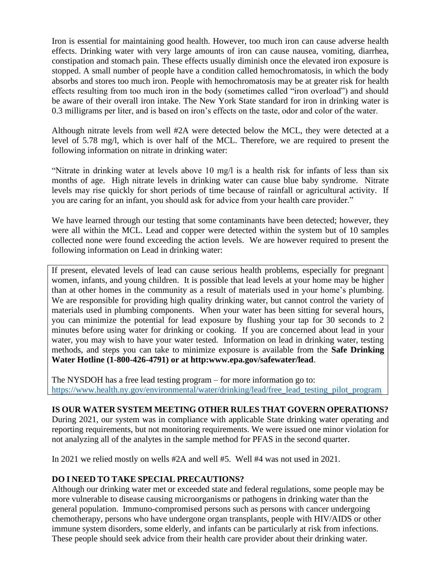Iron is essential for maintaining good health. However, too much iron can cause adverse health effects. Drinking water with very large amounts of iron can cause nausea, vomiting, diarrhea, constipation and stomach pain. These effects usually diminish once the elevated iron exposure is stopped. A small number of people have a condition called hemochromatosis, in which the body absorbs and stores too much iron. People with hemochromatosis may be at greater risk for health effects resulting from too much iron in the body (sometimes called "iron overload") and should be aware of their overall iron intake. The New York State standard for iron in drinking water is 0.3 milligrams per liter, and is based on iron's effects on the taste, odor and color of the water.

Although nitrate levels from well #2A were detected below the MCL, they were detected at a level of 5.78 mg/l, which is over half of the MCL. Therefore, we are required to present the following information on nitrate in drinking water:

"Nitrate in drinking water at levels above 10 mg/l is a health risk for infants of less than six months of age. High nitrate levels in drinking water can cause blue baby syndrome. Nitrate levels may rise quickly for short periods of time because of rainfall or agricultural activity. If you are caring for an infant, you should ask for advice from your health care provider."

We have learned through our testing that some contaminants have been detected; however, they were all within the MCL. Lead and copper were detected within the system but of 10 samples collected none were found exceeding the action levels. We are however required to present the following information on Lead in drinking water:

If present, elevated levels of lead can cause serious health problems, especially for pregnant women, infants, and young children. It is possible that lead levels at your home may be higher than at other homes in the community as a result of materials used in your home's plumbing. We are responsible for providing high quality drinking water, but cannot control the variety of materials used in plumbing components. When your water has been sitting for several hours, you can minimize the potential for lead exposure by flushing your tap for 30 seconds to 2 minutes before using water for drinking or cooking. If you are concerned about lead in your water, you may wish to have your water tested. Information on lead in drinking water, testing methods, and steps you can take to minimize exposure is available from the **Safe Drinking Water Hotline (1-800-426-4791) or at http:www.epa.gov/safewater/lead**.

The NYSDOH has a free lead testing program – for more information go to: [https://www.health.ny.gov/environmental/water/drinking/lead/free\\_lead\\_testing\\_pilot\\_program](https://www.health.ny.gov/environmental/water/drinking/lead/free_lead_testing_pilot_program)

### **IS OUR WATER SYSTEM MEETING OTHER RULES THAT GOVERN OPERATIONS?**

During 2021, our system was in compliance with applicable State drinking water operating and reporting requirements, but not monitoring requirements. We were issued one minor violation for not analyzing all of the analytes in the sample method for PFAS in the second quarter.

In 2021 we relied mostly on wells #2A and well #5. Well #4 was not used in 2021.

### **DO I NEED TO TAKE SPECIAL PRECAUTIONS?**

Although our drinking water met or exceeded state and federal regulations, some people may be more vulnerable to disease causing microorganisms or pathogens in drinking water than the general population. Immuno-compromised persons such as persons with cancer undergoing chemotherapy, persons who have undergone organ transplants, people with HIV/AIDS or other immune system disorders, some elderly, and infants can be particularly at risk from infections. These people should seek advice from their health care provider about their drinking water.